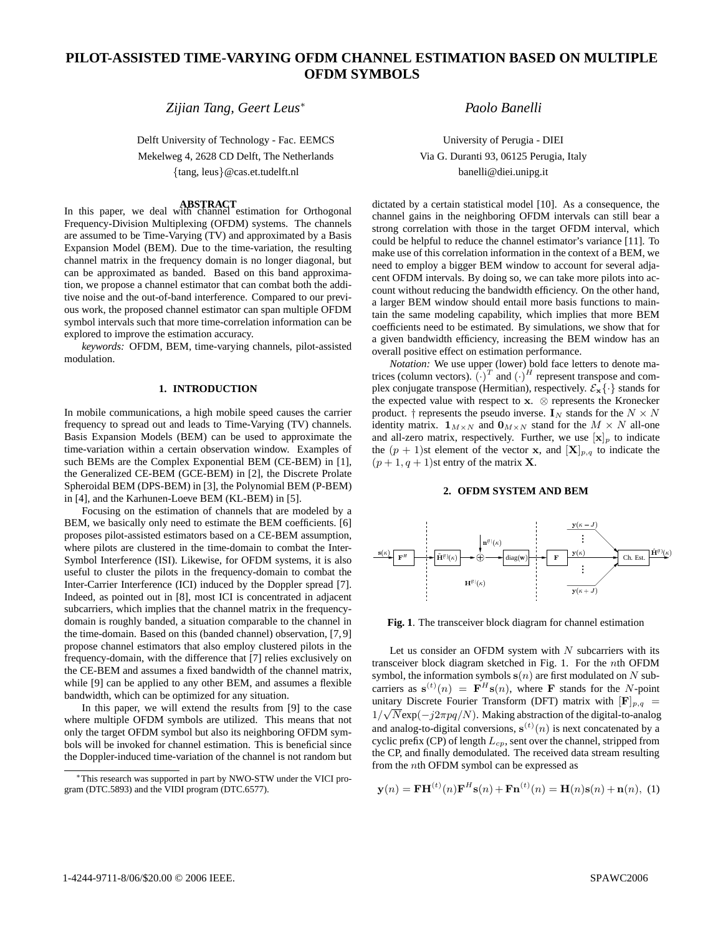# **PILOT-ASSISTED TIME-VARYING OFDM CHANNEL ESTIMATION BASED ON MULTIPLE OFDM SYMBOLS**

*Zijian Tang, Geert Leus*<sup>∗</sup>

Delft University of Technology - Fac. EEMCS Mekelweg 4, 2628 CD Delft, The Netherlands {tang, leus}@cas.et.tudelft.nl

**ABSTRACT** In this paper, we deal with channel estimation for Orthogonal Frequency-Division Multiplexing (OFDM) systems. The channels are assumed to be Time-Varying (TV) and approximated by a Basis Expansion Model (BEM). Due to the time-variation, the resulting channel matrix in the frequency domain is no longer diagonal, but can be approximated as banded. Based on this band approximation, we propose a channel estimator that can combat both the additive noise and the out-of-band interference. Compared to our previous work, the proposed channel estimator can span multiple OFDM symbol intervals such that more time-correlation information can be explored to improve the estimation accuracy.

*keywords:* OFDM, BEM, time-varying channels, pilot-assisted modulation.

# **1. INTRODUCTION**

In mobile communications, a high mobile speed causes the carrier frequency to spread out and leads to Time-Varying (TV) channels. Basis Expansion Models (BEM) can be used to approximate the time-variation within a certain observation window. Examples of such BEMs are the Complex Exponential BEM (CE-BEM) in [1], the Generalized CE-BEM (GCE-BEM) in [2], the Discrete Prolate Spheroidal BEM (DPS-BEM) in [3], the Polynomial BEM (P-BEM) in [4], and the Karhunen-Loeve BEM (KL-BEM) in [5].

Focusing on the estimation of channels that are modeled by a BEM, we basically only need to estimate the BEM coefficients. [6] proposes pilot-assisted estimators based on a CE-BEM assumption, where pilots are clustered in the time-domain to combat the Inter-Symbol Interference (ISI). Likewise, for OFDM systems, it is also useful to cluster the pilots in the frequency-domain to combat the Inter-Carrier Interference (ICI) induced by the Doppler spread [7]. Indeed, as pointed out in [8], most ICI is concentrated in adjacent subcarriers, which implies that the channel matrix in the frequencydomain is roughly banded, a situation comparable to the channel in the time-domain. Based on this (banded channel) observation, [7, 9] propose channel estimators that also employ clustered pilots in the frequency-domain, with the difference that [7] relies exclusively on the CE-BEM and assumes a fixed bandwidth of the channel matrix, while [9] can be applied to any other BEM, and assumes a flexible bandwidth, which can be optimized for any situation.

In this paper, we will extend the results from [9] to the case where multiple OFDM symbols are utilized. This means that not only the target OFDM symbol but also its neighboring OFDM symbols will be invoked for channel estimation. This is beneficial since the Doppler-induced time-variation of the channel is not random but

*Paolo Banelli*

University of Perugia - DIEI Via G. Duranti 93, 06125 Perugia, Italy banelli@diei.unipg.it

dictated by a certain statistical model [10]. As a consequence, the channel gains in the neighboring OFDM intervals can still bear a strong correlation with those in the target OFDM interval, which could be helpful to reduce the channel estimator's variance [11]. To make use of this correlation information in the context of a BEM, we need to employ a bigger BEM window to account for several adjacent OFDM intervals. By doing so, we can take more pilots into account without reducing the bandwidth efficiency. On the other hand, a larger BEM window should entail more basis functions to maintain the same modeling capability, which implies that more BEM coefficients need to be estimated. By simulations, we show that for a given bandwidth efficiency, increasing the BEM window has an overall positive effect on estimation performance.

*Notation:* We use upper (lower) bold face letters to denote matrices (column vectors).  $(\cdot)^T$  and  $(\cdot)^H$  represent transpose and complex conjugate transpose (Hermitian), respectively.  $\mathcal{E}_{\mathbf{x}}\{\cdot\}$  stands for the expected value with respect to  $x.$   $\otimes$  represents the Kronecker product. † represents the pseudo inverse.  $I_N$  stands for the  $N \times N$ identity matrix.  $\mathbf{1}_{M\times N}$  and  $\mathbf{0}_{M\times N}$  stand for the  $M\times N$  all-one and all-zero matrix, respectively. Further, we use  $[\mathbf{x}]_p$  to indicate the  $(p + 1)$ st element of the vector **x**, and  $[\mathbf{X}]_{p,q}$  to indicate the  $(p+1, q+1)$ st entry of the matrix **X**.

# **2. OFDM SYSTEM AND BEM**



**Fig. 1**. The transceiver block diagram for channel estimation

Let us consider an OFDM system with  $N$  subcarriers with its transceiver block diagram sketched in Fig. 1. For the nth OFDM symbol, the information symbols  $s(n)$  are first modulated on N subcarriers as  $\mathbf{s}^{(t)}(n) = \mathbf{F}^H \mathbf{s}(n)$ , where **F** stands for the N-point unitary Discrete Fourier Transform (DFT) matrix with  $[F]_{p,q}$  =  $1/\sqrt{N}$ exp( $-j2\pi pq/N$ ). Making abstraction of the digital-to-analog and analog-to-digital conversions,  $s^{(t)}(n)$  is next concatenated by a cyclic prefix (CP) of length  $L_{cp}$ , sent over the channel, stripped from the CP, and finally demodulated. The received data stream resulting from the nth OFDM symbol can be expressed as

$$
\mathbf{y}(n) = \mathbf{F} \mathbf{H}^{(t)}(n) \mathbf{F}^{H} \mathbf{s}(n) + \mathbf{F} \mathbf{n}^{(t)}(n) = \mathbf{H}(n) \mathbf{s}(n) + \mathbf{n}(n), \tag{1}
$$

<sup>∗</sup>This research was supported in part by NWO-STW under the VICI program (DTC.5893) and the VIDI program (DTC.6577).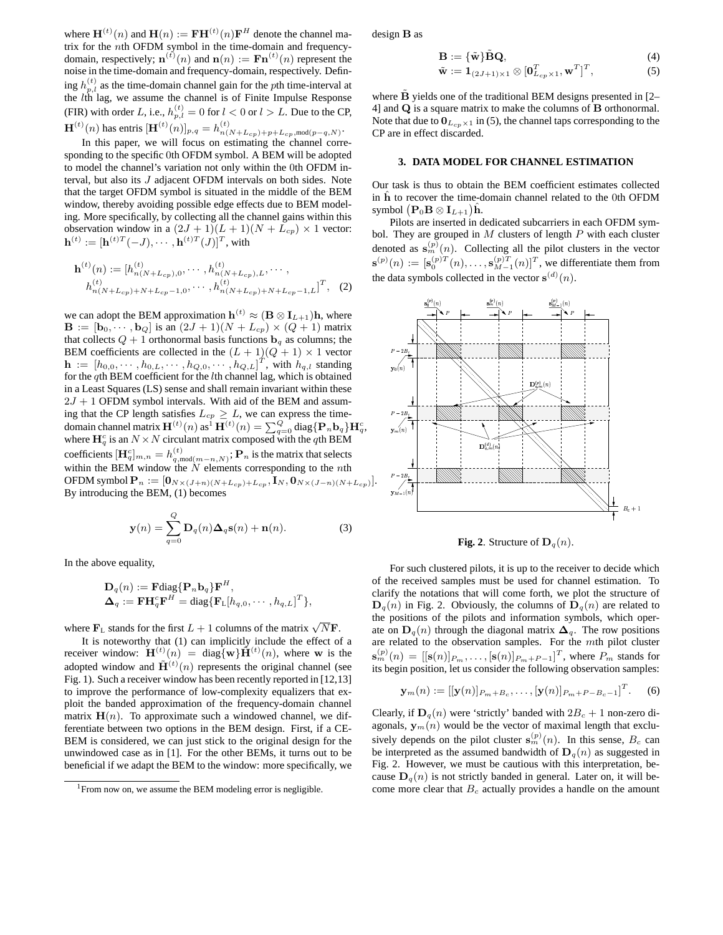where  $\mathbf{H}^{(t)}(n)$  and  $\mathbf{H}(n) := \mathbf{F}\mathbf{H}^{(t)}(n)\mathbf{F}^H$  denote the channel matrix for the nth OFDM symbol in the time-domain and frequencydomain, respectively;  $\mathbf{n}^{(t)}(n)$  and  $\mathbf{n}(n) := \mathbf{Fn}^{(t)}(n)$  represent the noise in the time-domain and frequency-domain, respectively. Defining  $h_{p,l}^{(t)}$  as the time-domain channel gain for the pth time-interval at the *lth* lag, we assume the channel is of Finite Impulse Response (FIR) with order L, i.e.,  $h_{p,l}^{(t)} = 0$  for  $l < 0$  or  $l > L$ . Due to the CP,  $\mathbf{H}^{(t)}(n)$  has entris  $[\mathbf{H}^{(t)}(n)]_{p,q} = h_{n(N+L_{cp})+p+L_{cp}, \text{mod}(p-q,N)}^{(t)}$ .

In this paper, we will focus on estimating the channel corresponding to the specific 0th OFDM symbol. A BEM will be adopted to model the channel's variation not only within the 0th OFDM interval, but also its J adjacent OFDM intervals on both sides. Note that the target OFDM symbol is situated in the middle of the BEM window, thereby avoiding possible edge effects due to BEM modeling. More specifically, by collecting all the channel gains within this observation window in a  $(2J+1)(L+1)(N+L_{cp}) \times 1$  vector:  $\mathbf{h}^{(t)} := [\mathbf{h}^{(t)T}(-J), \cdots, \mathbf{h}^{(t)T}(J)]^T$ , with

$$
\mathbf{h}^{(t)}(n) := [h_{n(N+L_{cp}),0}^{(t)}, \cdots, h_{n(N+L_{cp}),L}^{(t)}, \cdots, h_{n(N+L_{cp}),L}^{(t)}, \cdots, h_{n(N+L_{cp})+N+L_{cp}-1,L}^{(t)}]^T, (2)
$$

we can adopt the BEM approximation  $h^{(t)} \approx (\mathbf{B} \otimes \mathbf{I}_{L+1})\mathbf{h}$ , where  $\mathbf{B} := [\mathbf{b}_0, \cdots, \mathbf{b}_Q]$  is an  $(2J + 1)(N + L_{cp}) \times (Q + 1)$  matrix that collects  $Q + 1$  orthonormal basis functions  $\mathbf{b}_q$  as columns; the BEM coefficients are collected in the  $(L + 1)(Q + 1) \times 1$  vector  $\mathbf{h} := [h_{0,0}, \dots, h_{0,L}, \dots, h_{Q,0}, \dots, h_{Q,L}]^T$ , with  $h_{q,l}$  standing for the qth BEM coefficient for the lth channel lag, which is obtained in a Least Squares (LS) sense and shall remain invariant within these  $2J + 1$  OFDM symbol intervals. With aid of the BEM and assuming that the CP length satisfies  $L_{cp} \geq L$ , we can express the timedomain channel matrix  $\mathbf{H}^{(t)}(n)$  as  $\mathbf{H}^{(t)}(n) = \sum_{q=0}^{Q} \text{diag}\{\mathbf{P}_n \mathbf{b}_q\} \mathbf{H}_q^c$ , where  $\mathbf{H}_q^c$  is an  $N \times N$  circulant matrix composed with the qth BEM coefficients  $[\mathbf{H}_q^c]_{m,n} = h_{q,\text{mod}(m-n,N)}^{(t)}$ ;  $\mathbf{P}_n$  is the matrix that selects within the BEM window the  $N$  elements corresponding to the  $n$ th OFDM symbol  $\mathbf{P}_n := [\mathbf{0}_{N\times (J+n)(N+L_{cp})+L_{cp}}, \mathbf{I}_N, \mathbf{0}_{N\times (J-n)(N+L_{cp})}].$ By introducing the BEM, (1) becomes

$$
\mathbf{y}(n) = \sum_{q=0}^{Q} \mathbf{D}_q(n) \mathbf{\Delta}_q \mathbf{s}(n) + \mathbf{n}(n).
$$
 (3)

In the above equality,

$$
\mathbf{D}_q(n) := \mathbf{F} \text{diag}\{\mathbf{P}_n \mathbf{b}_q\} \mathbf{F}^H, \n\mathbf{\Delta}_q := \mathbf{F} \mathbf{H}_q^c \mathbf{F}^H = \text{diag}\{\mathbf{F}_L[h_{q,0}, \cdots, h_{q,L}]^T\},
$$

where  $\mathbf{F}_{\text{L}}$  stands for the first  $L + 1$  columns of the matrix  $\sqrt{N}\mathbf{F}$ .

It is noteworthy that (1) can implicitly include the effect of a receiver window:  $\mathbf{H}^{(t)}(n) = \text{diag}\{\mathbf{w}\}\tilde{\mathbf{H}}^{(t)}(n)$ , where w is the adopted window and  $\tilde{\mathbf{H}}^{(t)}(n)$  represents the original channel (see Fig. 1). Such a receiver window has been recently reported in [12,13] to improve the performance of low-complexity equalizers that exploit the banded approximation of the frequency-domain channel matrix  $\mathbf{H}(n)$ . To approximate such a windowed channel, we differentiate between two options in the BEM design. First, if a CE-BEM is considered, we can just stick to the original design for the unwindowed case as in [1]. For the other BEMs, it turns out to be beneficial if we adapt the BEM to the window: more specifically, we

design B as

$$
\mathbf{B} := {\tilde{\mathbf{w}}}\tilde{\mathbf{B}}\mathbf{Q},
$$
  
\n
$$
\tilde{\mathbf{w}} := \mathbf{1}_{(2J+1)\times 1} \otimes [\mathbf{0}_{L_{cp}\times 1}^T, \mathbf{w}^T]^T,
$$
\n(4)

where  $\hat{\mathbf{B}}$  yields one of the traditional BEM designs presented in [2– 4] and Q is a square matrix to make the columns of B orthonormal. Note that due to  $\mathbf{0}_{L_{cp}\times 1}$  in (5), the channel taps corresponding to the CP are in effect discarded.

# **3. DATA MODEL FOR CHANNEL ESTIMATION**

Our task is thus to obtain the BEM coefficient estimates collected in  $\hat{h}$  to recover the time-domain channel related to the 0th OFDM symbol  $(\mathbf{P}_0 \mathbf{B} \otimes \mathbf{I}_{L+1})\hat{\mathbf{h}}.$ 

Pilots are inserted in dedicated subcarriers in each OFDM symbol. They are grouped in  $M$  clusters of length  $P$  with each cluster denoted as  $\mathbf{s}_{m}^{(p)}(n)$ . Collecting all the pilot clusters in the vector  $\mathbf{s}^{(p)}(n) := [\mathbf{s}_0^{(p)T}(n), \dots, \mathbf{s}_{M-1}^{(p)T}(n)]^T$ , we differentiate them from the data symbols collected in the vector  $\mathbf{s}^{(d)}(n)$ .



**Fig.** 2. Structure of  $D_q(n)$ .

For such clustered pilots, it is up to the receiver to decide which of the received samples must be used for channel estimation. To clarify the notations that will come forth, we plot the structure of  $\mathbf{D}_{q}(n)$  in Fig. 2. Obviously, the columns of  $\mathbf{D}_{q}(n)$  are related to the positions of the pilots and information symbols, which operate on  $\mathbf{D}_q(n)$  through the diagonal matrix  $\mathbf{\Delta}_q$ . The row positions are related to the observation samples. For the mth pilot cluster  $\mathbf{s}_{m}^{(p)}(n) = [[\mathbf{s}(n)]_{P_m}, \ldots, [\mathbf{s}(n)]_{P_m+P-1}]^T$ , where  $P_m$  stands for its begin position, let us consider the following observation samples:

$$
\mathbf{y}_{m}(n) := [[\mathbf{y}(n)]_{P_{m}+B_{c}}, \dots, [\mathbf{y}(n)]_{P_{m}+P-B_{c}-1}]^{T}.
$$
 (6)

Clearly, if  $D_q(n)$  were 'strictly' banded with  $2B_c + 1$  non-zero diagonals,  $y_m(n)$  would be the vector of maximal length that exclusively depends on the pilot cluster  $s_m^{(p)}(n)$ . In this sense,  $B_c$  can be interpreted as the assumed bandwidth of  $\mathbf{D}_q(n)$  as suggested in Fig. 2. However, we must be cautious with this interpretation, because  $\mathbf{D}_q(n)$  is not strictly banded in general. Later on, it will become more clear that  $B<sub>c</sub>$  actually provides a handle on the amount

<sup>&</sup>lt;sup>1</sup> From now on, we assume the BEM modeling error is negligible.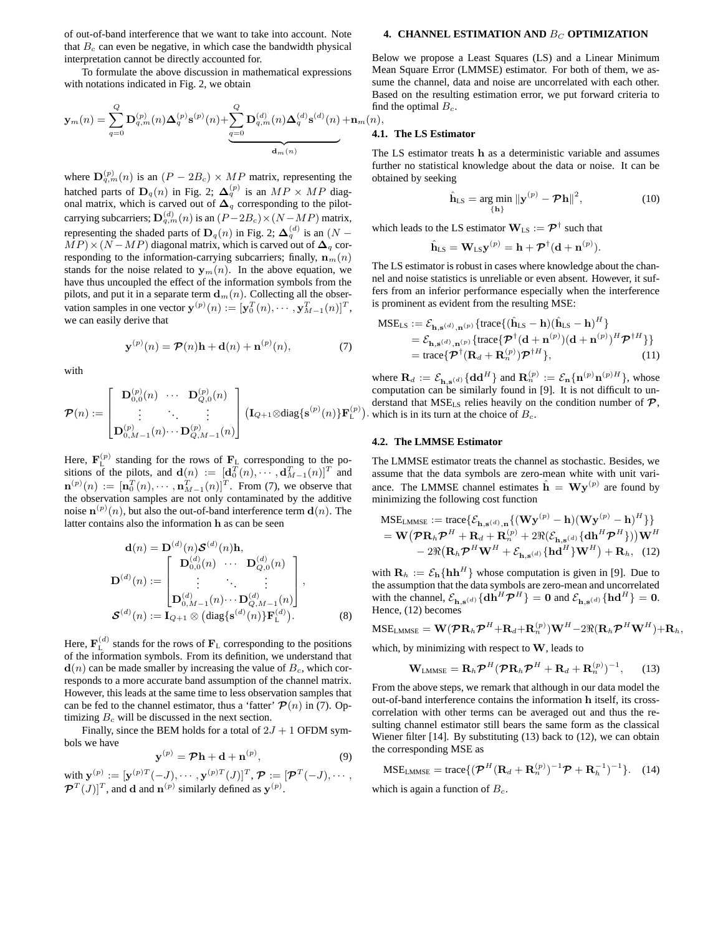of out-of-band interference that we want to take into account. Note that  $B<sub>c</sub>$  can even be negative, in which case the bandwidth physical interpretation cannot be directly accounted for.

To formulate the above discussion in mathematical expressions with notations indicated in Fig. 2, we obtain

$$
\mathbf{y}_{m}(n) = \sum_{q=0}^{Q} \mathbf{D}_{q,m}^{(p)}(n) \Delta_{q}^{(p)} \mathbf{s}^{(p)}(n) + \sum_{q=0}^{Q} \mathbf{D}_{q,m}^{(d)}(n) \Delta_{q}^{(d)} \mathbf{s}^{(d)}(n) + \mathbf{n}_{m}(n),
$$

where  $\mathbf{D}_{q,m}^{(p)}(n)$  is an  $(P - 2B_c) \times MP$  matrix, representing the hatched parts of  $\mathbf{D}_q(n)$  in Fig. 2;  $\mathbf{\Delta}_q^{(p)}$  is an  $MP \times MP$  diagonal matrix, which is carved out of  $\Delta_q$  corresponding to the pilotcarrying subcarriers;  $\mathbf{D}_{q,m}^{(d)}(n)$  is an  $(P-2B_c)\times(N-MP)$  matrix, representing the shaded parts of  $\mathbf{D}_q(n)$  in Fig. 2;  $\mathbf{\Delta}_q^{(d)}$  is an  $(N MP$  × (N − MP) diagonal matrix, which is carved out of  $\Delta_q$  corresponding to the information-carrying subcarriers; finally,  $\mathbf{n}_m(n)$ stands for the noise related to  $y_m(n)$ . In the above equation, we have thus uncoupled the effect of the information symbols from the pilots, and put it in a separate term  $\mathbf{d}_m(n)$ . Collecting all the observation samples in one vector  $\mathbf{y}^{(p)}(n) := [\mathbf{y}_0^T(n), \cdots, \mathbf{y}_{M-1}^T(n)]^T$ , we can easily derive that

$$
\mathbf{y}^{(p)}(n) = \mathcal{P}(n)\mathbf{h} + \mathbf{d}(n) + \mathbf{n}^{(p)}(n),\tag{7}
$$

with

$$
\bm{\mathcal{P}}(n) := \begin{bmatrix} {\bf D}_{0,0}^{(p)}(n) & \cdots & {\bf D}_{Q,0}^{(p)}(n) \\ \vdots & \ddots & \vdots \\ {\bf D}_{0,M-1}^{(p)}(n) \cdots {\bf D}_{Q,M-1}^{(p)}(n) \end{bmatrix} \big( {\bf I}_{Q+1} \otimes \text{diag}\{ {\bf s}^{(p)}(n) \} {\bf F}_{\text{L}}^{(p)}
$$

Here,  $\mathbf{F}_{\text{L}}^{(p)}$  standing for the rows of  $\mathbf{F}_{\text{L}}$  corresponding to the positions of the pilots, and  $\mathbf{d}(n) := [\mathbf{d}_0^T(n), \cdots, \mathbf{d}_{M-1}^T(n)]^T$  and  $\mathbf{n}^{(p)}(n) := [\mathbf{n}_0^T(n), \cdots, \mathbf{n}_{M-1}^T(n)]^T$ . From (7), we observe that the observation samples are not only contaminated by the additive noise  $\mathbf{n}^{(p)}(n)$ , but also the out-of-band interference term  $\mathbf{d}(n)$ . The latter contains also the information h as can be seen

$$
\mathbf{d}(n) = \mathbf{D}^{(d)}(n) \mathcal{S}^{(d)}(n) \mathbf{h},
$$
  
\n
$$
\mathbf{D}^{(d)}(n) := \begin{bmatrix} \mathbf{D}_{0,0}^{(d)}(n) & \cdots & \mathbf{D}_{Q,0}^{(d)}(n) \\ \vdots & \ddots & \vdots \\ \mathbf{D}_{0,M-1}^{(d)}(n) & \cdots & \mathbf{D}_{Q,M-1}^{(d)}(n) \end{bmatrix},
$$
  
\n
$$
\mathcal{S}^{(d)}(n) := \mathbf{I}_{Q+1} \otimes (\text{diag}\{\mathbf{s}^{(d)}(n)\} \mathbf{F}_{L}^{(d)}).
$$
 (8)

Here,  $\mathbf{F}_{\text{L}}^{(d)}$  stands for the rows of  $\mathbf{F}_{\text{L}}$  corresponding to the positions of the information symbols. From its definition, we understand that  $\mathbf{d}(n)$  can be made smaller by increasing the value of  $B_c$ , which corresponds to a more accurate band assumption of the channel matrix. However, this leads at the same time to less observation samples that can be fed to the channel estimator, thus a 'fatter'  $\mathcal{P}(n)$  in (7). Optimizing  $B<sub>c</sub>$  will be discussed in the next section.

Finally, since the BEM holds for a total of  $2J + 1$  OFDM symbols we have

$$
\mathbf{y}^{(p)} = \mathcal{P}\mathbf{h} + \mathbf{d} + \mathbf{n}^{(p)},\tag{9}
$$

with  $\mathbf{y}^{(p)} := [\mathbf{y}^{(p)T}(-J), \cdots, \mathbf{y}^{(p)T}(J)]^T$ ,  $\mathcal{P} := [\mathcal{P}^T(-J), \cdots, \mathcal{P}^T(J)]^T$ , and d and  $\mathbf{n}^{(p)}$  similarly defined as  $\mathbf{y}^{(p)}$ .

#### **4. CHANNEL ESTIMATION AND BC OPTIMIZATION**

Below we propose a Least Squares (LS) and a Linear Minimum Mean Square Error (LMMSE) estimator. For both of them, we assume the channel, data and noise are uncorrelated with each other. Based on the resulting estimation error, we put forward criteria to find the optimal  $B_c$ .

#### **4.1. The LS Estimator**

The LS estimator treats h as a deterministic variable and assumes further no statistical knowledge about the data or noise. It can be obtained by seeking

$$
\hat{\mathbf{h}}_{LS} = \underset{\{\mathbf{h}\}}{\arg\min} \|\mathbf{y}^{(p)} - \mathcal{P}\mathbf{h}\|^2,\tag{10}
$$

which leads to the LS estimator  $\mathbf{W}_{\text{LS}} := \mathcal{P}^\dagger$  such that

$$
\hat{\mathbf{h}}_{LS} = \mathbf{W}_{LS} \mathbf{y}^{(p)} = \mathbf{h} + \boldsymbol{\mathcal{P}}^{\dagger} (\mathbf{d} + \mathbf{n}^{(p)}).
$$

The LS estimator is robust in cases where knowledge about the channel and noise statistics is unreliable or even absent. However, it suffers from an inferior performance especially when the interference is prominent as evident from the resulting MSE:

$$
\begin{aligned} \text{MSE}_{\text{LS}} &:= \mathcal{E}_{\mathbf{h}, \mathbf{s}^{(d)}, \mathbf{n}^{(p)}} \{ \text{trace} \{ (\hat{\mathbf{h}}_{\text{LS}} - \mathbf{h}) (\hat{\mathbf{h}}_{\text{LS}} - \mathbf{h})^{H} \} \\ &= \mathcal{E}_{\mathbf{h}, \mathbf{s}^{(d)}, \mathbf{n}^{(p)}} \{ \text{trace} \{ \boldsymbol{\mathcal{P}}^{\dagger} (\mathbf{d} + \mathbf{n}^{(p)}) (\mathbf{d} + \mathbf{n}^{(p)})^{H} \boldsymbol{\mathcal{P}}^{\dagger H} \} \} \\ &= \text{trace} \{ \boldsymbol{\mathcal{P}}^{\dagger} (\mathbf{R}_{d} + \mathbf{R}_{n}^{(p)}) \boldsymbol{\mathcal{P}}^{\dagger H} \}, \end{aligned} \tag{11}
$$

). which is in its turn at the choice of  $B_c$ . where  $\mathbf{R}_d := \mathcal{E}_{\mathbf{h}, \mathbf{s}^{(d)}} \{ \mathbf{d} \mathbf{d}^H \}$  and  $\mathbf{R}_n^{(p)} := \mathcal{E}_{\mathbf{n}} \{ \mathbf{n}^{(p)} \mathbf{n}^{(p)H} \}$ , whose computation can be similarly found in [9]. It is not difficult to understand that  $MSE_{LS}$  relies heavily on the condition number of  $\mathcal{P}$ ,

### **4.2. The LMMSE Estimator**

The LMMSE estimator treats the channel as stochastic. Besides, we assume that the data symbols are zero-mean white with unit variance. The LMMSE channel estimates  $\hat{\mathbf{h}} = \mathbf{W} \mathbf{y}^{(p)}$  are found by minimizing the following cost function

$$
\begin{aligned} \text{MSE}_{\text{LMMSE}} &:= \text{trace}\{\mathcal{E}_{\mathbf{h},\mathbf{s}^{(d)},\mathbf{n}}\{(\mathbf{W}\mathbf{y}^{(p)} - \mathbf{h})(\mathbf{W}\mathbf{y}^{(p)} - \mathbf{h})^H\}\} \\ &= \mathbf{W}\big(\mathcal{P}\mathbf{R}_h\mathcal{P}^H + \mathbf{R}_d + \mathbf{R}_n^{(p)} + 2\Re(\mathcal{E}_{\mathbf{h},\mathbf{s}^{(d)}}\{\mathbf{d}\mathbf{h}^H\mathcal{P}^H\})\big)\mathbf{W}^H \\ &- 2\Re\big(\mathbf{R}_h\mathcal{P}^H\mathbf{W}^H + \mathcal{E}_{\mathbf{h},\mathbf{s}^{(d)}}\{\mathbf{h}\mathbf{d}^H\}^H\mathbf{W}^H\} + \mathbf{R}_h, \quad (12) \end{aligned}
$$

with  $\mathbf{R}_h := \mathcal{E}_h \{ \mathbf{h} \mathbf{h}^H \}$  whose computation is given in [9]. Due to the assumption that the data symbols are zero-mean and uncorrelated with the channel,  $\mathcal{E}_{\mathbf{h},\mathbf{s}^{(d)}}\{\mathbf{d}\mathbf{h}^H\mathcal{P}^H\} = \mathbf{0}$  and  $\mathcal{E}_{\mathbf{h},\mathbf{s}^{(d)}}\{\mathbf{hd}^H\} = \mathbf{0}$ . Hence, (12) becomes

$$
MSE_{LMMSE} = \mathbf{W}(\mathcal{P}\mathbf{R}_h\mathcal{P}^H + \mathbf{R}_d + \mathbf{R}_n^{(p)})\mathbf{W}^H - 2\Re(\mathbf{R}_h\mathcal{P}^H\mathbf{W}^H) + \mathbf{R}_h,
$$

which, by minimizing with respect to  $W$ , leads to

$$
\mathbf{W}_{\text{LMMSE}} = \mathbf{R}_h \boldsymbol{\mathcal{P}}^H (\boldsymbol{\mathcal{P}} \mathbf{R}_h \boldsymbol{\mathcal{P}}^H + \mathbf{R}_d + \mathbf{R}_n^{(p)})^{-1},\qquad(13)
$$

From the above steps, we remark that although in our data model the out-of-band interference contains the information h itself, its crosscorrelation with other terms can be averaged out and thus the resulting channel estimator still bears the same form as the classical Wiener filter [14]. By substituting (13) back to (12), we can obtain the corresponding MSE as

$$
MSE_{LMMSE} = \text{trace}\{(\boldsymbol{\mathcal{P}}^{H}(\mathbf{R}_{d} + \mathbf{R}_{n}^{(p)})^{-1}\boldsymbol{\mathcal{P}} + \mathbf{R}_{h}^{-1})^{-1}\}.
$$
 (14)

which is again a function of  $B<sub>c</sub>$ .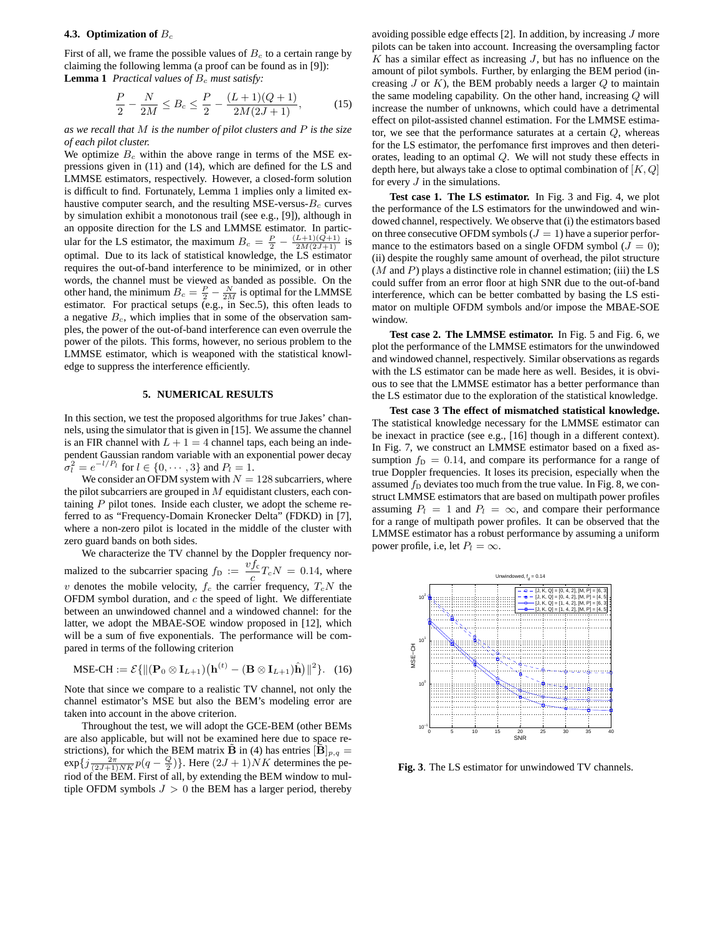## **4.3. Optimization of** B<sup>c</sup>

First of all, we frame the possible values of  $B<sub>c</sub>$  to a certain range by claiming the following lemma (a proof can be found as in [9]): **Lemma 1** Practical values of  $B_c$  must satisfy:

$$
\frac{P}{2} - \frac{N}{2M} \le B_c \le \frac{P}{2} - \frac{(L+1)(Q+1)}{2M(2J+1)},
$$
(15)

*as we recall that* M *is the number of pilot clusters and* P *is the size of each pilot cluster.*

We optimize  $B_c$  within the above range in terms of the MSE expressions given in (11) and (14), which are defined for the LS and LMMSE estimators, respectively. However, a closed-form solution is difficult to find. Fortunately, Lemma 1 implies only a limited exhaustive computer search, and the resulting MSE-versus- $B_c$  curves by simulation exhibit a monotonous trail (see e.g., [9]), although in an opposite direction for the LS and LMMSE estimator. In particular for the LS estimator, the maximum  $B_c = \frac{P}{2} - \frac{(L+1)(Q+1)}{2M(2J+1)}$  is optimal. Due to its lack of statistical knowledge, the LS estimator requires the out-of-band interference to be minimized, or in other words, the channel must be viewed as banded as possible. On the other hand, the minimum  $B_c = \frac{P}{2} - \frac{N}{2M}$  is optimal for the LMMSE estimator. For practical setups (e.g., in Sec.5), this often leads to a negative  $B<sub>c</sub>$ , which implies that in some of the observation samples, the power of the out-of-band interference can even overrule the power of the pilots. This forms, however, no serious problem to the LMMSE estimator, which is weaponed with the statistical knowledge to suppress the interference efficiently.

# **5. NUMERICAL RESULTS**

In this section, we test the proposed algorithms for true Jakes' channels, using the simulator that is given in [15]. We assume the channel is an FIR channel with  $L + 1 = 4$  channel taps, each being an independent Gaussian random variable with an exponential power decay  $\sigma_l^2 = e^{-l/P_l}$  for  $l \in \{0, \dots, 3\}$  and  $P_l = 1$ .

We consider an OFDM system with  $N = 128$  subcarriers, where the pilot subcarriers are grouped in  $M$  equidistant clusters, each containing  $P$  pilot tones. Inside each cluster, we adopt the scheme referred to as "Frequency-Domain Kronecker Delta" (FDKD) in [7], where a non-zero pilot is located in the middle of the cluster with zero guard bands on both sides.

We characterize the TV channel by the Doppler frequency normalized to the subcarrier spacing  $f_{\rm D} := \frac{v f_{\rm c}}{2}$  $\frac{Jc}{c}T_cN = 0.14$ , where v denotes the mobile velocity,  $f_c$  the carrier frequency,  $T_cN$  the OFDM symbol duration, and  $c$  the speed of light. We differentiate between an unwindowed channel and a windowed channel: for the latter, we adopt the MBAE-SOE window proposed in [12], which will be a sum of five exponentials. The performance will be compared in terms of the following criterion

$$
\text{MSE-CH} := \mathcal{E}\{ \left\| (\mathbf{P}_0 \otimes \mathbf{I}_{L+1}) (\mathbf{h}^{(t)} - (\mathbf{B} \otimes \mathbf{I}_{L+1})\hat{\mathbf{h}}) \right\|^2 \}.
$$
 (16)

Note that since we compare to a realistic TV channel, not only the channel estimator's MSE but also the BEM's modeling error are taken into account in the above criterion.

Throughout the test, we will adopt the GCE-BEM (other BEMs are also applicable, but will not be examined here due to space restrictions), for which the BEM matrix **B** in (4) has entries  $[\mathbf{B}]_{p,q} =$  $\exp\{j\frac{2\pi}{(2J+1)NK}p(q-\frac{Q}{2})\}\.$  Here  $(2J+1)NK$  determines the period of the BEM. First of all, by extending the BEM window to multiple OFDM symbols  $J > 0$  the BEM has a larger period, thereby

avoiding possible edge effects [2]. In addition, by increasing  $J$  more pilots can be taken into account. Increasing the oversampling factor  $K$  has a similar effect as increasing  $J$ , but has no influence on the amount of pilot symbols. Further, by enlarging the BEM period (increasing  $J$  or  $K$ ), the BEM probably needs a larger  $Q$  to maintain the same modeling capability. On the other hand, increasing Q will increase the number of unknowns, which could have a detrimental effect on pilot-assisted channel estimation. For the LMMSE estimator, we see that the performance saturates at a certain Q, whereas for the LS estimator, the perfomance first improves and then deteriorates, leading to an optimal Q. We will not study these effects in depth here, but always take a close to optimal combination of  $[K, Q]$ for every  $J$  in the simulations.

**Test case 1. The LS estimator.** In Fig. 3 and Fig. 4, we plot the performance of the LS estimators for the unwindowed and windowed channel, respectively. We observe that (i) the estimators based on three consecutive OFDM symbols ( $J = 1$ ) have a superior performance to the estimators based on a single OFDM symbol ( $J = 0$ ); (ii) despite the roughly same amount of overhead, the pilot structure  $(M \text{ and } P)$  plays a distinctive role in channel estimation; (iii) the LS could suffer from an error floor at high SNR due to the out-of-band interference, which can be better combatted by basing the LS estimator on multiple OFDM symbols and/or impose the MBAE-SOE window.

**Test case 2. The LMMSE estimator.** In Fig. 5 and Fig. 6, we plot the performance of the LMMSE estimators for the unwindowed and windowed channel, respectively. Similar observations as regards with the LS estimator can be made here as well. Besides, it is obvious to see that the LMMSE estimator has a better performance than the LS estimator due to the exploration of the statistical knowledge.

**Test case 3 The effect of mismatched statistical knowledge.** The statistical knowledge necessary for the LMMSE estimator can be inexact in practice (see e.g., [16] though in a different context). In Fig. 7, we construct an LMMSE estimator based on a fixed assumption  $f<sub>D</sub> = 0.14$ , and compare its performance for a range of true Doppler frequencies. It loses its precision, especially when the assumed  $f<sub>D</sub>$  deviates too much from the true value. In Fig. 8, we construct LMMSE estimators that are based on multipath power profiles assuming  $P_l = 1$  and  $P_l = \infty$ , and compare their performance for a range of multipath power profiles. It can be observed that the LMMSE estimator has a robust performance by assuming a uniform power profile, i.e, let  $P_l = \infty$ .



**Fig. 3**. The LS estimator for unwindowed TV channels.